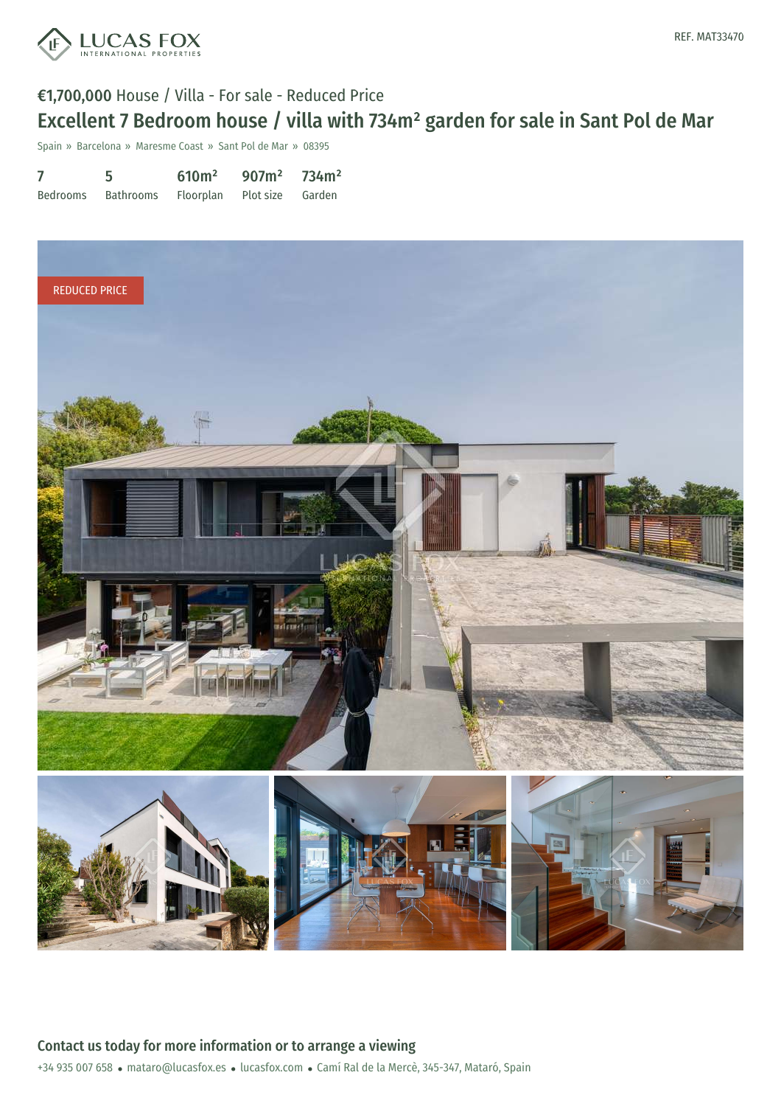

Spain » Barcelona » Maresme Coast » Sant Pol de Mar » 08395

|          | 5                                    | $610m^2$ 907m <sup>2</sup> 734m <sup>2</sup> |  |
|----------|--------------------------------------|----------------------------------------------|--|
| Bedrooms | Bathrooms Floorplan Plot-size Garden |                                              |  |

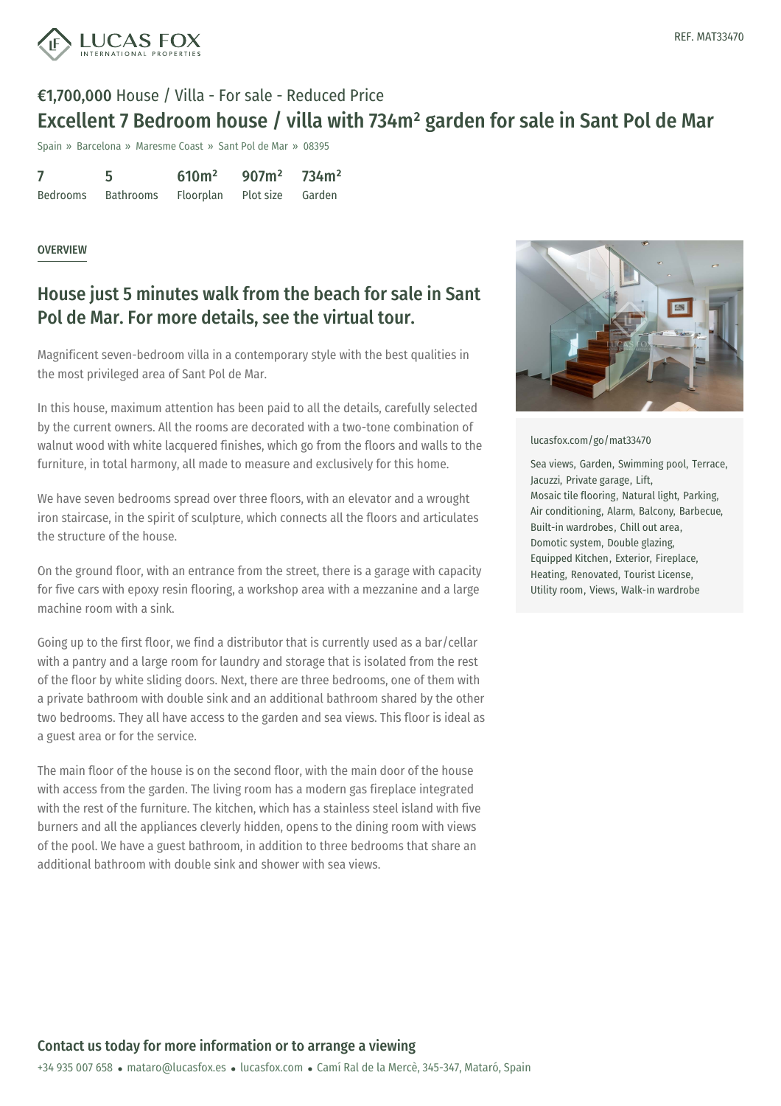

Spain » Barcelona » Maresme Coast » Sant Pol de Mar » 08395

|          | 5                                    | 610 <sup>2</sup> | $907m^2$ 734m <sup>2</sup> |  |
|----------|--------------------------------------|------------------|----------------------------|--|
| Bedrooms | Bathrooms Floorplan Plot size Garden |                  |                            |  |

#### **OVERVIEW**

### House just 5 minutes walk from the beach for sale in Sant Pol de Mar. For more details, see the virtual tour.

Magnificent seven-bedroom villa in a contemporary style with the best qualities in the most privileged area of Sant Pol de Mar.

In this house, maximum attention has been paid to all the details, carefully selected by the current owners. All the rooms are decorated with a two-tone combination of walnut wood with white lacquered finishes, which go from the floors and walls to the furniture, in total harmony, all made to measure and exclusively for this home.

We have seven bedrooms spread over three floors, with an elevator and a wrought iron staircase, in the spirit of sculpture, which connects all the floors and articulates the structure of the house.

On the ground floor, with an entrance from the street, there is a garage with capacity for five cars with epoxy resin flooring, a workshop area with a mezzanine and a large machine room with a sink.

Going up to the first floor, we find a distributor that is currently used as a bar/cellar with a pantry and a large room for laundry and storage that is isolated from the rest of the floor by white sliding doors. Next, there are three bedrooms, one of them with a private bathroom with double sink and an additional bathroom shared by the other two bedrooms. They all have access to the garden and sea views. This floor is ideal as a guest area or for the service.

The main floor of the house is on the second floor, with the main door of the house with access from the garden. The living room has a modern gas fireplace integrated with the rest of the furniture. The kitchen, which has a stainless steel island with five burners and all the [appliances](mailto:mataro@lucasfox.es) cleverly [hidden,](https://www.lucasfox.com) opens to the dining room with views of the pool. We have a guest bathroom, in addition to three bedrooms that share an additional bathroom with double sink and shower with sea views.



[lucasfox.com/go/mat33470](https://www.lucasfox.com/go/mat33470)

Sea views, Garden, Swimming pool, Terrace, Jacuzzi, Private garage, Lift, Mosaic tile flooring, Natural light, Parking, Air conditioning, Alarm, Balcony, Barbecue, Built-in wardrobes, Chill out area, Domotic system, Double glazing, Equipped Kitchen, Exterior, Fireplace, Heating, Renovated, Tourist License, Utility room, Views, Walk-in wardrobe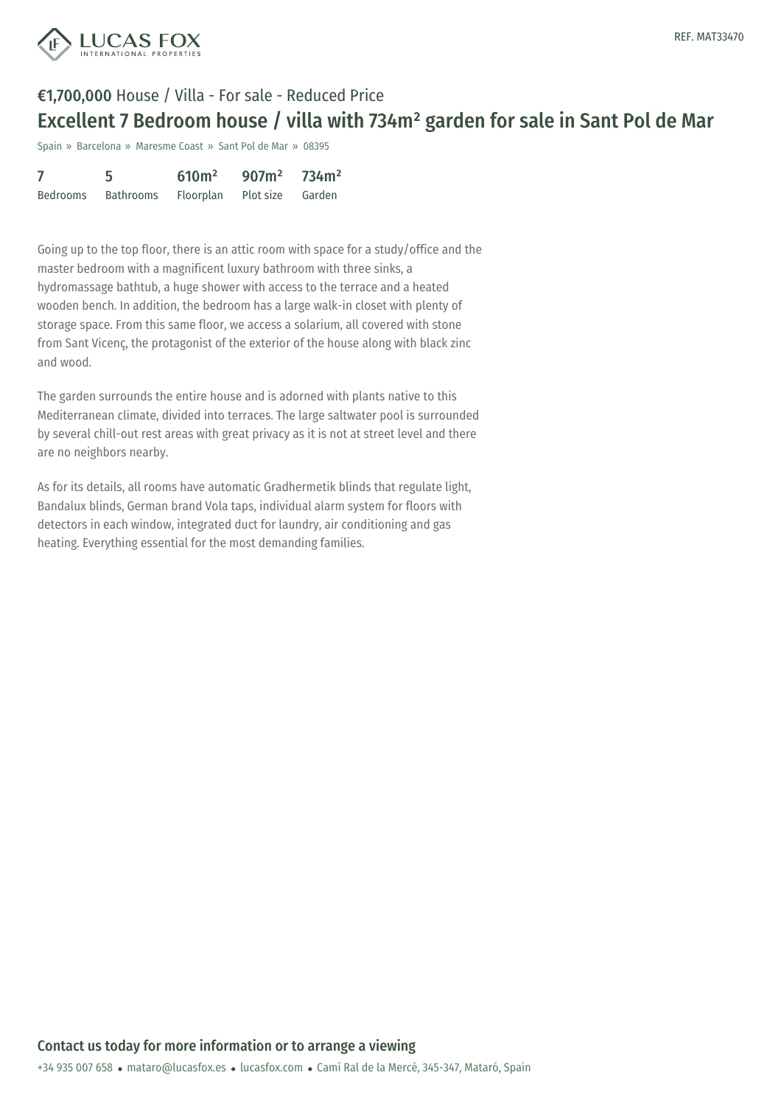

Spain » Barcelona » Maresme Coast » Sant Pol de Mar » 08395

|          | 5.                                   | 610 <sup>m²</sup> | $907m^2$ 734m <sup>2</sup> |  |
|----------|--------------------------------------|-------------------|----------------------------|--|
| Bedrooms | Bathrooms Floorplan Plot size Garden |                   |                            |  |

Going up to the top floor, there is an attic room with space for a study/office and the master bedroom with a magnificent luxury bathroom with three sinks, a hydromassage bathtub, a huge shower with access to the terrace and a heated wooden bench. In addition, the bedroom has a large walk-in closet with plenty of storage space. From this same floor, we access a solarium, all covered with stone from Sant Vicenç, the protagonist of the exterior of the house along with black zinc and wood.

The garden surrounds the entire house and is adorned with plants native to this Mediterranean climate, divided into terraces. The large saltwater pool is surrounded by several chill-out rest areas with great privacy as it is not at street level and there are no neighbors nearby.

As for its details, all rooms have automatic Gradhermetik blinds that regulate light, Bandalux blinds, German brand Vola taps, individual alarm system for floors with detectors in each window, integrated duct for laundry, air conditioning and gas heating. Everything essential for the most demanding families.